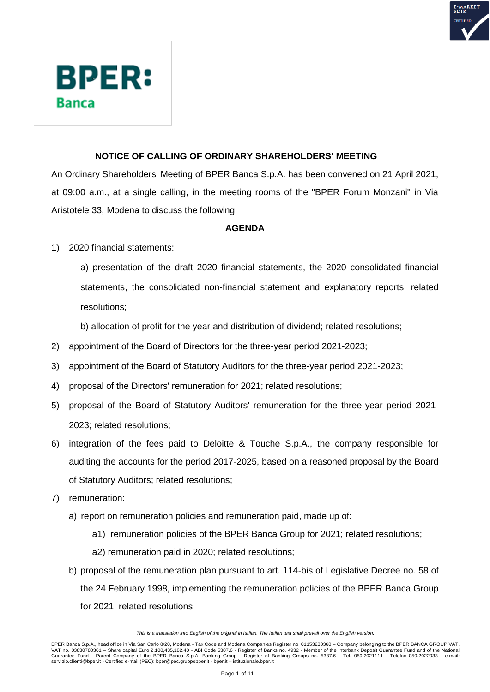



# **NOTICE OF CALLING OF ORDINARY SHAREHOLDERS' MEETING**

An Ordinary Shareholders' Meeting of BPER Banca S.p.A. has been convened on 21 April 2021, at 09:00 a.m., at a single calling, in the meeting rooms of the "BPER Forum Monzani" in Via Aristotele 33, Modena to discuss the following

# **AGENDA**

1) 2020 financial statements:

a) presentation of the draft 2020 financial statements, the 2020 consolidated financial statements, the consolidated non-financial statement and explanatory reports; related resolutions;

b) allocation of profit for the year and distribution of dividend; related resolutions;

- 2) appointment of the Board of Directors for the three-year period 2021-2023;
- 3) appointment of the Board of Statutory Auditors for the three-year period 2021-2023;
- 4) proposal of the Directors' remuneration for 2021; related resolutions;
- 5) proposal of the Board of Statutory Auditors' remuneration for the three-year period 2021- 2023; related resolutions;
- 6) integration of the fees paid to Deloitte & Touche S.p.A., the company responsible for auditing the accounts for the period 2017-2025, based on a reasoned proposal by the Board of Statutory Auditors; related resolutions;
- 7) remuneration:
	- a) report on remuneration policies and remuneration paid, made up of:
		- a1) remuneration policies of the BPER Banca Group for 2021; related resolutions;
		- a2) remuneration paid in 2020; related resolutions;
	- b) proposal of the remuneration plan pursuant to art. 114-bis of Legislative Decree no. 58 of the 24 February 1998, implementing the remuneration policies of the BPER Banca Group for 2021; related resolutions;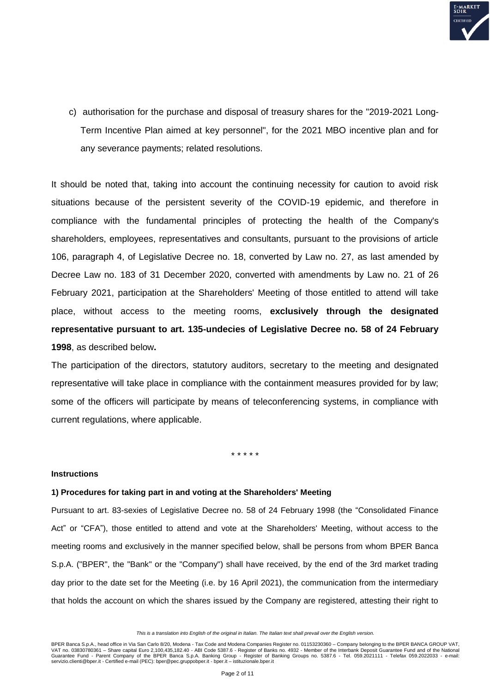

c) authorisation for the purchase and disposal of treasury shares for the "2019-2021 Long-Term Incentive Plan aimed at key personnel", for the 2021 MBO incentive plan and for any severance payments; related resolutions.

It should be noted that, taking into account the continuing necessity for caution to avoid risk situations because of the persistent severity of the COVID-19 epidemic, and therefore in compliance with the fundamental principles of protecting the health of the Company's shareholders, employees, representatives and consultants, pursuant to the provisions of article 106, paragraph 4, of Legislative Decree no. 18, converted by Law no. 27, as last amended by Decree Law no. 183 of 31 December 2020, converted with amendments by Law no. 21 of 26 February 2021, participation at the Shareholders' Meeting of those entitled to attend will take place, without access to the meeting rooms, **exclusively through the designated representative pursuant to art. 135-undecies of Legislative Decree no. 58 of 24 February 1998**, as described below**.**

The participation of the directors, statutory auditors, secretary to the meeting and designated representative will take place in compliance with the containment measures provided for by law; some of the officers will participate by means of teleconferencing systems, in compliance with current regulations, where applicable.

\* \* \* \* \*

# **Instructions**

#### **1) Procedures for taking part in and voting at the Shareholders' Meeting**

Pursuant to art. 83-sexies of Legislative Decree no. 58 of 24 February 1998 (the "Consolidated Finance Act" or "CFA"), those entitled to attend and vote at the Shareholders' Meeting, without access to the meeting rooms and exclusively in the manner specified below, shall be persons from whom BPER Banca S.p.A. ("BPER", the "Bank" or the "Company") shall have received, by the end of the 3rd market trading day prior to the date set for the Meeting (i.e. by 16 April 2021), the communication from the intermediary that holds the account on which the shares issued by the Company are registered, attesting their right to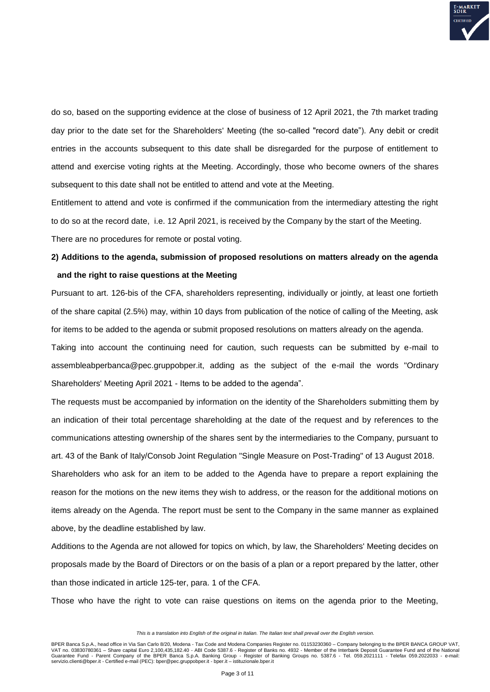

do so, based on the supporting evidence at the close of business of 12 April 2021, the 7th market trading day prior to the date set for the Shareholders' Meeting (the so-called "record date"). Any debit or credit entries in the accounts subsequent to this date shall be disregarded for the purpose of entitlement to attend and exercise voting rights at the Meeting. Accordingly, those who become owners of the shares subsequent to this date shall not be entitled to attend and vote at the Meeting.

Entitlement to attend and vote is confirmed if the communication from the intermediary attesting the right to do so at the record date, i.e. 12 April 2021, is received by the Company by the start of the Meeting. There are no procedures for remote or postal voting.

# **2) Additions to the agenda, submission of proposed resolutions on matters already on the agenda and the right to raise questions at the Meeting**

Pursuant to art. 126-bis of the CFA, shareholders representing, individually or jointly, at least one fortieth of the share capital (2.5%) may, within 10 days from publication of the notice of calling of the Meeting, ask for items to be added to the agenda or submit proposed resolutions on matters already on the agenda.

Taking into account the continuing need for caution, such requests can be submitted by e-mail to assembleabperbanca@pec.gruppobper.it, adding as the subject of the e-mail the words "Ordinary Shareholders' Meeting April 2021 - Items to be added to the agenda".

The requests must be accompanied by information on the identity of the Shareholders submitting them by an indication of their total percentage shareholding at the date of the request and by references to the communications attesting ownership of the shares sent by the intermediaries to the Company, pursuant to

art. 43 of the Bank of Italy/Consob Joint Regulation "Single Measure on Post-Trading" of 13 August 2018.

Shareholders who ask for an item to be added to the Agenda have to prepare a report explaining the reason for the motions on the new items they wish to address, or the reason for the additional motions on items already on the Agenda. The report must be sent to the Company in the same manner as explained above, by the deadline established by law.

Additions to the Agenda are not allowed for topics on which, by law, the Shareholders' Meeting decides on proposals made by the Board of Directors or on the basis of a plan or a report prepared by the latter, other than those indicated in article 125-ter, para. 1 of the CFA.

Those who have the right to vote can raise questions on items on the agenda prior to the Meeting,

*This is a translation into English of the original in Italian. The Italian text shall prevail over the English version.*

BPER Banca S.p.A., head office in Via San Carlo 8/20, Modena - Tax Code and Modena Companies Register no. 01153230360 – Company belonging to the BPER BANCA GROUP VAT, VAT no. 03830780361 – Share capital Euro 2,100,435,182.40 - ABI Code 5387.6 - Register of Banks no. 4932 - Member of the Interbank Deposit Guarantee Fund and of the National<br>Guarantee Fund - Parent Company of the BPER Banc servizio.clienti@bper.it - Certified e-mail (PEC): bper@pec.gruppobper.it - bper.it – istituzionale.bper.it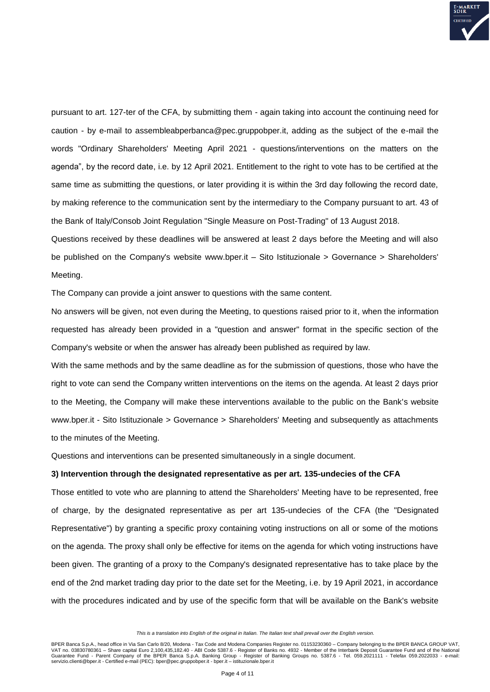

pursuant to art. 127-ter of the CFA, by submitting them - again taking into account the continuing need for caution - by e-mail to assembleabperbanca@pec.gruppobper.it, adding as the subject of the e-mail the words "Ordinary Shareholders' Meeting April 2021 - questions/interventions on the matters on the agenda", by the record date, i.e. by 12 April 2021. Entitlement to the right to vote has to be certified at the same time as submitting the questions, or later providing it is within the 3rd day following the record date, by making reference to the communication sent by the intermediary to the Company pursuant to art. 43 of the Bank of Italy/Consob Joint Regulation "Single Measure on Post-Trading" of 13 August 2018.

Questions received by these deadlines will be answered at least 2 days before the Meeting and will also be published on the Company's website www.bper.it – Sito Istituzionale > Governance > Shareholders' Meeting.

The Company can provide a joint answer to questions with the same content.

No answers will be given, not even during the Meeting, to questions raised prior to it, when the information requested has already been provided in a "question and answer" format in the specific section of the Company's website or when the answer has already been published as required by law.

With the same methods and by the same deadline as for the submission of questions, those who have the right to vote can send the Company written interventions on the items on the agenda. At least 2 days prior to the Meeting, the Company will make these interventions available to the public on the Bank's website www.bper.it - Sito Istituzionale > Governance > Shareholders' Meeting and subsequently as attachments to the minutes of the Meeting.

Questions and interventions can be presented simultaneously in a single document.

## **3) Intervention through the designated representative as per art. 135-undecies of the CFA**

Those entitled to vote who are planning to attend the Shareholders' Meeting have to be represented, free of charge, by the designated representative as per art 135-undecies of the CFA (the "Designated Representative") by granting a specific proxy containing voting instructions on all or some of the motions on the agenda. The proxy shall only be effective for items on the agenda for which voting instructions have been given. The granting of a proxy to the Company's designated representative has to take place by the end of the 2nd market trading day prior to the date set for the Meeting, i.e. by 19 April 2021, in accordance with the procedures indicated and by use of the specific form that will be available on the Bank's website

*This is a translation into English of the original in Italian. The Italian text shall prevail over the English version.*

BPER Banca S.p.A., head office in Via San Carlo 8/20, Modena - Tax Code and Modena Companies Register no. 01153230360 – Company belonging to the BPER BANCA GROUP VAT, VAT no. 03830780361 – Share capital Euro 2,100,435,182.40 - ABI Code 5387.6 - Register of Banks no. 4932 - Member of the Interbank Deposit Guarantee Fund and of the National<br>Guarantee Fund - Parent Company of the BPER Banc servizio.clienti@bper.it - Certified e-mail (PEC): bper@pec.gruppobper.it - bper.it – istituzionale.bper.it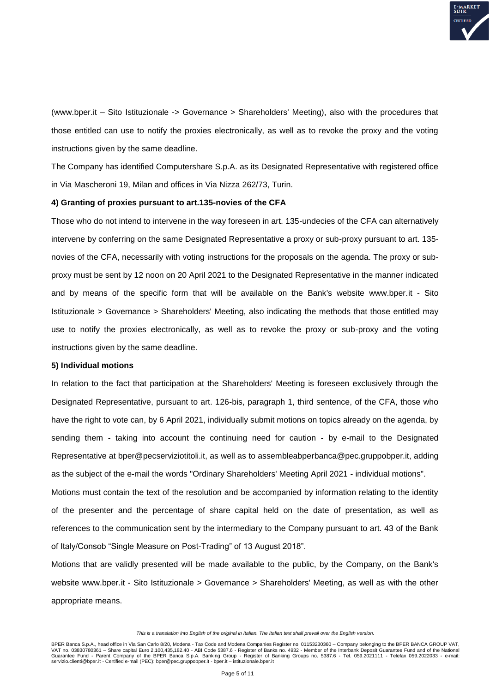

(www.bper.it – Sito Istituzionale -> Governance > Shareholders' Meeting), also with the procedures that those entitled can use to notify the proxies electronically, as well as to revoke the proxy and the voting instructions given by the same deadline.

The Company has identified Computershare S.p.A. as its Designated Representative with registered office in Via Mascheroni 19, Milan and offices in Via Nizza 262/73, Turin.

#### **4) Granting of proxies pursuant to art.135-novies of the CFA**

Those who do not intend to intervene in the way foreseen in art. 135-undecies of the CFA can alternatively intervene by conferring on the same Designated Representative a proxy or sub-proxy pursuant to art. 135 novies of the CFA, necessarily with voting instructions for the proposals on the agenda. The proxy or subproxy must be sent by 12 noon on 20 April 2021 to the Designated Representative in the manner indicated and by means of the specific form that will be available on the Bank's website www.bper.it - Sito Istituzionale > Governance > Shareholders' Meeting, also indicating the methods that those entitled may use to notify the proxies electronically, as well as to revoke the proxy or sub-proxy and the voting instructions given by the same deadline.

#### **5) Individual motions**

In relation to the fact that participation at the Shareholders' Meeting is foreseen exclusively through the Designated Representative, pursuant to art. 126-bis, paragraph 1, third sentence, of the CFA, those who have the right to vote can, by 6 April 2021, individually submit motions on topics already on the agenda, by sending them - taking into account the continuing need for caution - by e-mail to the Designated Representative at bper@pecserviziotitoli.it, as well as to assembleabperbanca@pec.gruppobper.it, adding as the subject of the e-mail the words "Ordinary Shareholders' Meeting April 2021 - individual motions".

Motions must contain the text of the resolution and be accompanied by information relating to the identity of the presenter and the percentage of share capital held on the date of presentation, as well as references to the communication sent by the intermediary to the Company pursuant to art. 43 of the Bank of Italy/Consob "Single Measure on Post-Trading" of 13 August 2018".

Motions that are validly presented will be made available to the public, by the Company, on the Bank's website www.bper.it - Sito Istituzionale > Governance > Shareholders' Meeting, as well as with the other appropriate means.

*This is a translation into English of the original in Italian. The Italian text shall prevail over the English version.*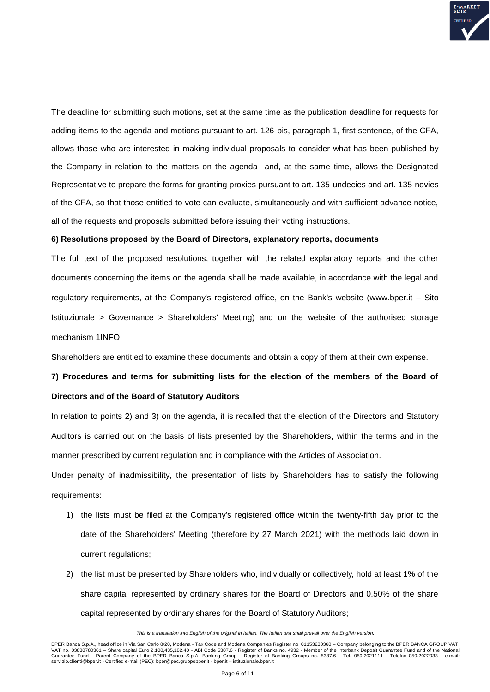

The deadline for submitting such motions, set at the same time as the publication deadline for requests for adding items to the agenda and motions pursuant to art. 126-bis, paragraph 1, first sentence, of the CFA, allows those who are interested in making individual proposals to consider what has been published by the Company in relation to the matters on the agenda and, at the same time, allows the Designated Representative to prepare the forms for granting proxies pursuant to art. 135-undecies and art. 135-novies of the CFA, so that those entitled to vote can evaluate, simultaneously and with sufficient advance notice, all of the requests and proposals submitted before issuing their voting instructions.

## **6) Resolutions proposed by the Board of Directors, explanatory reports, documents**

The full text of the proposed resolutions, together with the related explanatory reports and the other documents concerning the items on the agenda shall be made available, in accordance with the legal and regulatory requirements, at the Company's registered office, on the Bank's website (www.bper.it – Sito Istituzionale > Governance > Shareholders' Meeting) and on the website of the authorised storage mechanism 1INFO.

Shareholders are entitled to examine these documents and obtain a copy of them at their own expense.

# **7) Procedures and terms for submitting lists for the election of the members of the Board of Directors and of the Board of Statutory Auditors**

In relation to points 2) and 3) on the agenda, it is recalled that the election of the Directors and Statutory Auditors is carried out on the basis of lists presented by the Shareholders, within the terms and in the manner prescribed by current regulation and in compliance with the Articles of Association.

Under penalty of inadmissibility, the presentation of lists by Shareholders has to satisfy the following requirements:

- 1) the lists must be filed at the Company's registered office within the twenty-fifth day prior to the date of the Shareholders' Meeting (therefore by 27 March 2021) with the methods laid down in current regulations;
- 2) the list must be presented by Shareholders who, individually or collectively, hold at least 1% of the share capital represented by ordinary shares for the Board of Directors and 0.50% of the share capital represented by ordinary shares for the Board of Statutory Auditors;

*This is a translation into English of the original in Italian. The Italian text shall prevail over the English version.*

BPER Banca S.p.A., head office in Via San Carlo 8/20, Modena - Tax Code and Modena Companies Register no. 01153230360 – Company belonging to the BPER BANCA GROUP VAT, VAT no. 03830780361 – Share capital Euro 2,100,435,182.40 - ABI Code 5387.6 - Register of Banks no. 4932 - Member of the Interbank Deposit Guarantee Fund and of the National<br>Guarantee Fund - Parent Company of the BPER Banc servizio.clienti@bper.it - Certified e-mail (PEC): bper@pec.gruppobper.it - bper.it – istituzionale.bper.it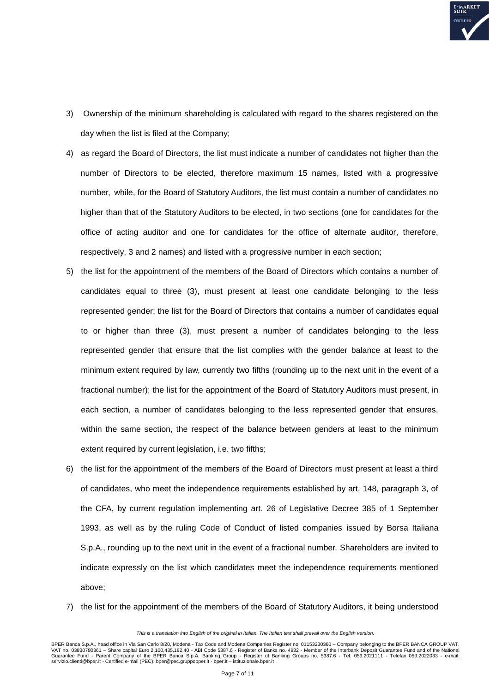

- 3) Ownership of the minimum shareholding is calculated with regard to the shares registered on the day when the list is filed at the Company;
- 4) as regard the Board of Directors, the list must indicate a number of candidates not higher than the number of Directors to be elected, therefore maximum 15 names, listed with a progressive number, while, for the Board of Statutory Auditors, the list must contain a number of candidates no higher than that of the Statutory Auditors to be elected, in two sections (one for candidates for the office of acting auditor and one for candidates for the office of alternate auditor, therefore, respectively, 3 and 2 names) and listed with a progressive number in each section;
- 5) the list for the appointment of the members of the Board of Directors which contains a number of candidates equal to three (3), must present at least one candidate belonging to the less represented gender; the list for the Board of Directors that contains a number of candidates equal to or higher than three (3), must present a number of candidates belonging to the less represented gender that ensure that the list complies with the gender balance at least to the minimum extent required by law, currently two fifths (rounding up to the next unit in the event of a fractional number); the list for the appointment of the Board of Statutory Auditors must present, in each section, a number of candidates belonging to the less represented gender that ensures, within the same section, the respect of the balance between genders at least to the minimum extent required by current legislation, i.e. two fifths;
- 6) the list for the appointment of the members of the Board of Directors must present at least a third of candidates, who meet the independence requirements established by art. 148, paragraph 3, of the CFA, by current regulation implementing art. 26 of Legislative Decree 385 of 1 September 1993, as well as by the ruling Code of Conduct of listed companies issued by Borsa Italiana S.p.A., rounding up to the next unit in the event of a fractional number. Shareholders are invited to indicate expressly on the list which candidates meet the independence requirements mentioned above;
- 7) the list for the appointment of the members of the Board of Statutory Auditors, it being understood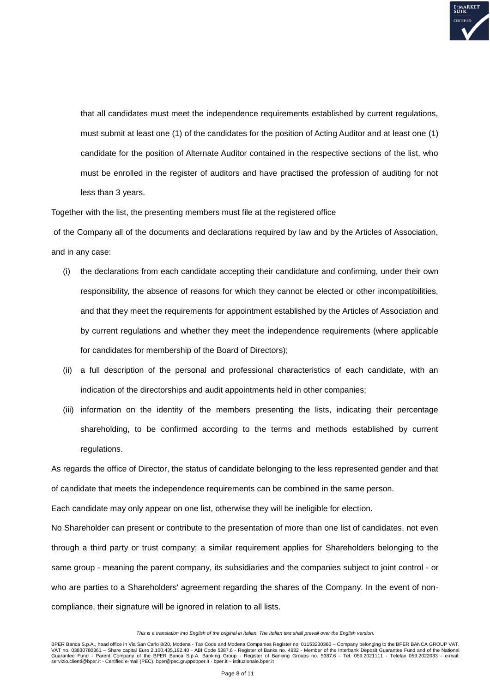

that all candidates must meet the independence requirements established by current regulations, must submit at least one (1) of the candidates for the position of Acting Auditor and at least one (1) candidate for the position of Alternate Auditor contained in the respective sections of the list, who must be enrolled in the register of auditors and have practised the profession of auditing for not less than 3 years.

Together with the list, the presenting members must file at the registered office

of the Company all of the documents and declarations required by law and by the Articles of Association, and in any case:

- (i) the declarations from each candidate accepting their candidature and confirming, under their own responsibility, the absence of reasons for which they cannot be elected or other incompatibilities, and that they meet the requirements for appointment established by the Articles of Association and by current regulations and whether they meet the independence requirements (where applicable for candidates for membership of the Board of Directors);
- (ii) a full description of the personal and professional characteristics of each candidate, with an indication of the directorships and audit appointments held in other companies;
- (iii) information on the identity of the members presenting the lists, indicating their percentage shareholding, to be confirmed according to the terms and methods established by current regulations.

As regards the office of Director, the status of candidate belonging to the less represented gender and that of candidate that meets the independence requirements can be combined in the same person.

Each candidate may only appear on one list, otherwise they will be ineligible for election.

No Shareholder can present or contribute to the presentation of more than one list of candidates, not even through a third party or trust company; a similar requirement applies for Shareholders belonging to the same group - meaning the parent company, its subsidiaries and the companies subject to joint control - or who are parties to a Shareholders' agreement regarding the shares of the Company. In the event of noncompliance, their signature will be ignored in relation to all lists.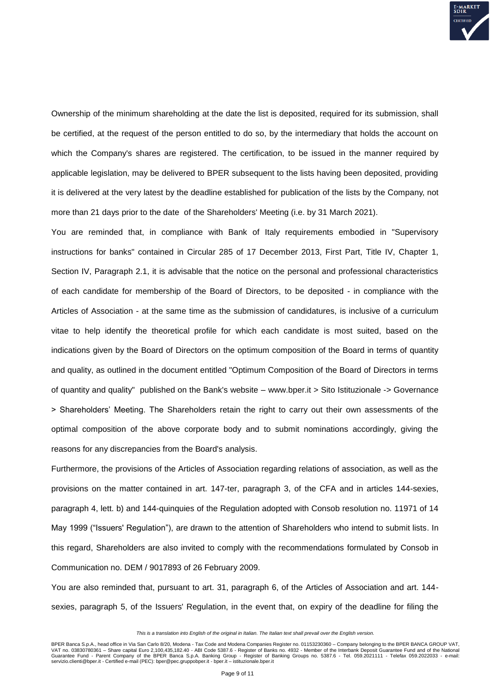

Ownership of the minimum shareholding at the date the list is deposited, required for its submission, shall be certified, at the request of the person entitled to do so, by the intermediary that holds the account on which the Company's shares are registered. The certification, to be issued in the manner required by applicable legislation, may be delivered to BPER subsequent to the lists having been deposited, providing it is delivered at the very latest by the deadline established for publication of the lists by the Company, not more than 21 days prior to the date of the Shareholders' Meeting (i.e. by 31 March 2021).

You are reminded that, in compliance with Bank of Italy requirements embodied in "Supervisory instructions for banks" contained in Circular 285 of 17 December 2013, First Part, Title IV, Chapter 1, Section IV, Paragraph 2.1, it is advisable that the notice on the personal and professional characteristics of each candidate for membership of the Board of Directors, to be deposited - in compliance with the Articles of Association - at the same time as the submission of candidatures, is inclusive of a curriculum vitae to help identify the theoretical profile for which each candidate is most suited, based on the indications given by the Board of Directors on the optimum composition of the Board in terms of quantity and quality, as outlined in the document entitled "Optimum Composition of the Board of Directors in terms of quantity and quality" published on the Bank's website – www.bper.it > Sito Istituzionale -> Governance > Shareholders' Meeting. The Shareholders retain the right to carry out their own assessments of the optimal composition of the above corporate body and to submit nominations accordingly, giving the reasons for any discrepancies from the Board's analysis.

Furthermore, the provisions of the Articles of Association regarding relations of association, as well as the provisions on the matter contained in art. 147-ter, paragraph 3, of the CFA and in articles 144-sexies, paragraph 4, lett. b) and 144-quinquies of the Regulation adopted with Consob resolution no. 11971 of 14 May 1999 ("Issuers' Regulation"), are drawn to the attention of Shareholders who intend to submit lists. In this regard, Shareholders are also invited to comply with the recommendations formulated by Consob in Communication no. DEM / 9017893 of 26 February 2009.

You are also reminded that, pursuant to art. 31, paragraph 6, of the Articles of Association and art. 144 sexies, paragraph 5, of the Issuers' Regulation, in the event that, on expiry of the deadline for filing the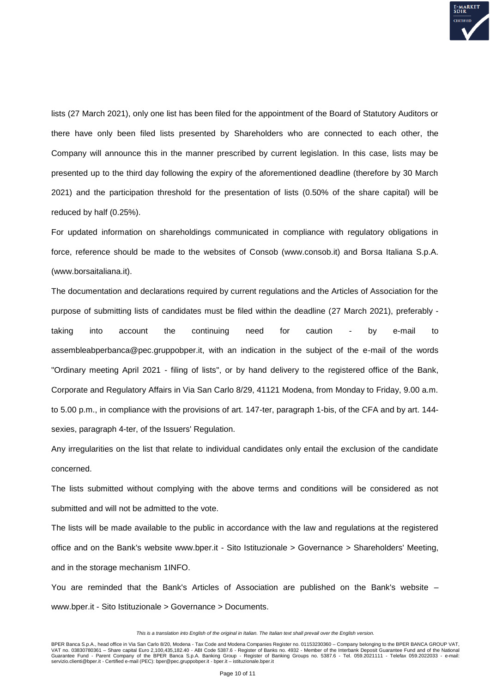

lists (27 March 2021), only one list has been filed for the appointment of the Board of Statutory Auditors or there have only been filed lists presented by Shareholders who are connected to each other, the Company will announce this in the manner prescribed by current legislation. In this case, lists may be presented up to the third day following the expiry of the aforementioned deadline (therefore by 30 March 2021) and the participation threshold for the presentation of lists (0.50% of the share capital) will be reduced by half (0.25%).

For updated information on shareholdings communicated in compliance with regulatory obligations in force, reference should be made to the websites of Consob (www.consob.it) and Borsa Italiana S.p.A. (www.borsaitaliana.it).

The documentation and declarations required by current regulations and the Articles of Association for the purpose of submitting lists of candidates must be filed within the deadline (27 March 2021), preferably taking into account the continuing need for caution - by e-mail to assembleabperbanca@pec.gruppobper.it, with an indication in the subject of the e-mail of the words "Ordinary meeting April 2021 - filing of lists", or by hand delivery to the registered office of the Bank, Corporate and Regulatory Affairs in Via San Carlo 8/29, 41121 Modena, from Monday to Friday, 9.00 a.m. to 5.00 p.m., in compliance with the provisions of art. 147-ter, paragraph 1-bis, of the CFA and by art. 144 sexies, paragraph 4-ter, of the Issuers' Regulation.

Any irregularities on the list that relate to individual candidates only entail the exclusion of the candidate concerned.

The lists submitted without complying with the above terms and conditions will be considered as not submitted and will not be admitted to the vote.

The lists will be made available to the public in accordance with the law and regulations at the registered office and on the Bank's website www.bper.it - Sito Istituzionale > Governance > Shareholders' Meeting, and in the storage mechanism 1INFO.

You are reminded that the Bank's Articles of Association are published on the Bank's website – www.bper.it - Sito Istituzionale > Governance > Documents.